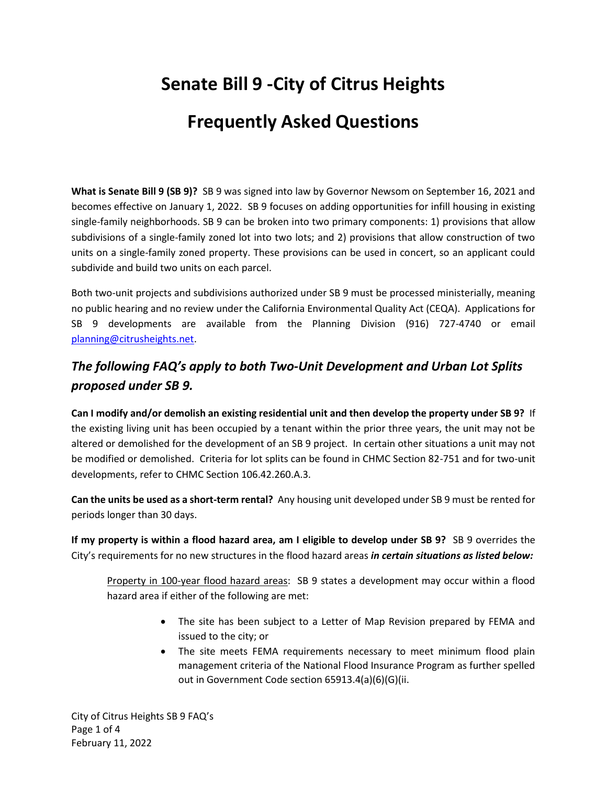# **Senate Bill 9 -City of Citrus Heights**

# **Frequently Asked Questions**

**What is Senate Bill 9 (SB 9)?** SB 9 was signed into law by Governor Newsom on September 16, 2021 and becomes effective on January 1, 2022. SB 9 focuses on adding opportunities for infill housing in existing single-family neighborhoods. SB 9 can be broken into two primary components: 1) provisions that allow subdivisions of a single-family zoned lot into two lots; and 2) provisions that allow construction of two units on a single-family zoned property. These provisions can be used in concert, so an applicant could subdivide and build two units on each parcel.

Both two-unit projects and subdivisions authorized under SB 9 must be processed ministerially, meaning no public hearing and no review under the California Environmental Quality Act (CEQA). Applications for SB 9 developments are available from the Planning Division (916) 727-4740 or email [planning@citrusheights.net.](mailto:planning@citrusheights.net)

## *The following FAQ's apply to both Two-Unit Development and Urban Lot Splits proposed under SB 9.*

**Can I modify and/or demolish an existing residential unit and then develop the property under SB 9?** If the existing living unit has been occupied by a tenant within the prior three years, the unit may not be altered or demolished for the development of an SB 9 project. In certain other situations a unit may not be modified or demolished. Criteria for lot splits can be found in CHMC Section 82-751 and for two-unit developments, refer to CHMC Section 106.42.260.A.3.

**Can the units be used as a short-term rental?** Any housing unit developed under SB 9 must be rented for periods longer than 30 days.

**If my property is within a flood hazard area, am I eligible to develop under SB 9?** SB 9 overrides the City's requirements for no new structures in the flood hazard areas *in certain situations as listed below:* 

Property in 100-year flood hazard areas: SB 9 states a development may occur within a flood hazard area if either of the following are met:

- The site has been subject to a Letter of Map Revision prepared by FEMA and issued to the city; or
- The site meets FEMA requirements necessary to meet minimum flood plain management criteria of the National Flood Insurance Program as further spelled out in Government Code section 65913.4(a)(6)(G)(ii.

City of Citrus Heights SB 9 FAQ's Page 1 of 4 February 11, 2022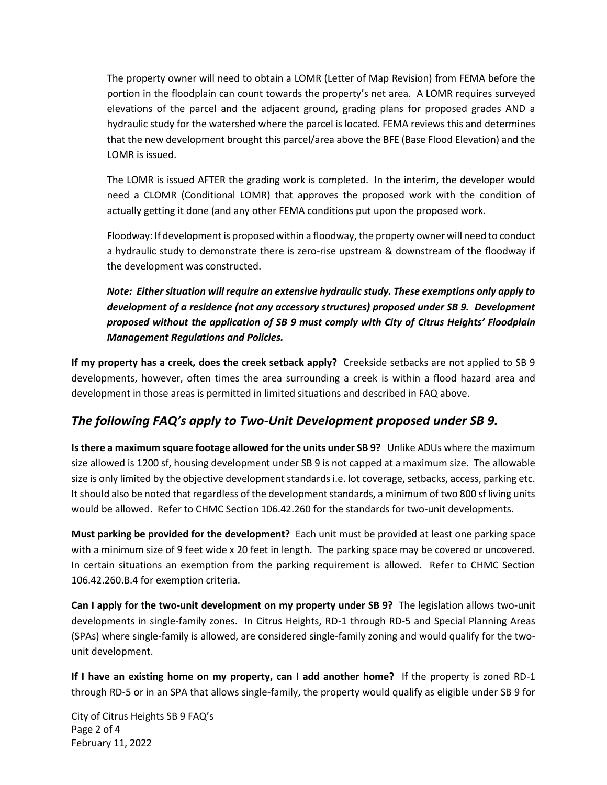The property owner will need to obtain a LOMR (Letter of Map Revision) from FEMA before the portion in the floodplain can count towards the property's net area. A LOMR requires surveyed elevations of the parcel and the adjacent ground, grading plans for proposed grades AND a hydraulic study for the watershed where the parcel is located. FEMA reviews this and determines that the new development brought this parcel/area above the BFE (Base Flood Elevation) and the LOMR is issued.

The LOMR is issued AFTER the grading work is completed. In the interim, the developer would need a CLOMR (Conditional LOMR) that approves the proposed work with the condition of actually getting it done (and any other FEMA conditions put upon the proposed work.

Floodway: If development is proposed within a floodway, the property owner will need to conduct a hydraulic study to demonstrate there is zero-rise upstream & downstream of the floodway if the development was constructed.

*Note: Either situation will require an extensive hydraulic study. These exemptions only apply to development of a residence (not any accessory structures) proposed under SB 9. Development proposed without the application of SB 9 must comply with City of Citrus Heights' Floodplain Management Regulations and Policies.* 

**If my property has a creek, does the creek setback apply?** Creekside setbacks are not applied to SB 9 developments, however, often times the area surrounding a creek is within a flood hazard area and development in those areas is permitted in limited situations and described in FAQ above.

### *The following FAQ's apply to Two-Unit Development proposed under SB 9.*

**Is there a maximum square footage allowed for the units under SB 9?** Unlike ADUs where the maximum size allowed is 1200 sf, housing development under SB 9 is not capped at a maximum size. The allowable size is only limited by the objective development standards i.e. lot coverage, setbacks, access, parking etc. It should also be noted that regardless of the development standards, a minimum of two 800 sf living units would be allowed. Refer to CHMC Section 106.42.260 for the standards for two-unit developments.

**Must parking be provided for the development?** Each unit must be provided at least one parking space with a minimum size of 9 feet wide x 20 feet in length. The parking space may be covered or uncovered. In certain situations an exemption from the parking requirement is allowed. Refer to CHMC Section 106.42.260.B.4 for exemption criteria.

**Can I apply for the two-unit development on my property under SB 9?** The legislation allows two-unit developments in single-family zones. In Citrus Heights, RD-1 through RD-5 and Special Planning Areas (SPAs) where single-family is allowed, are considered single-family zoning and would qualify for the twounit development.

**If I have an existing home on my property, can I add another home?** If the property is zoned RD-1 through RD-5 or in an SPA that allows single-family, the property would qualify as eligible under SB 9 for

City of Citrus Heights SB 9 FAQ's Page 2 of 4 February 11, 2022